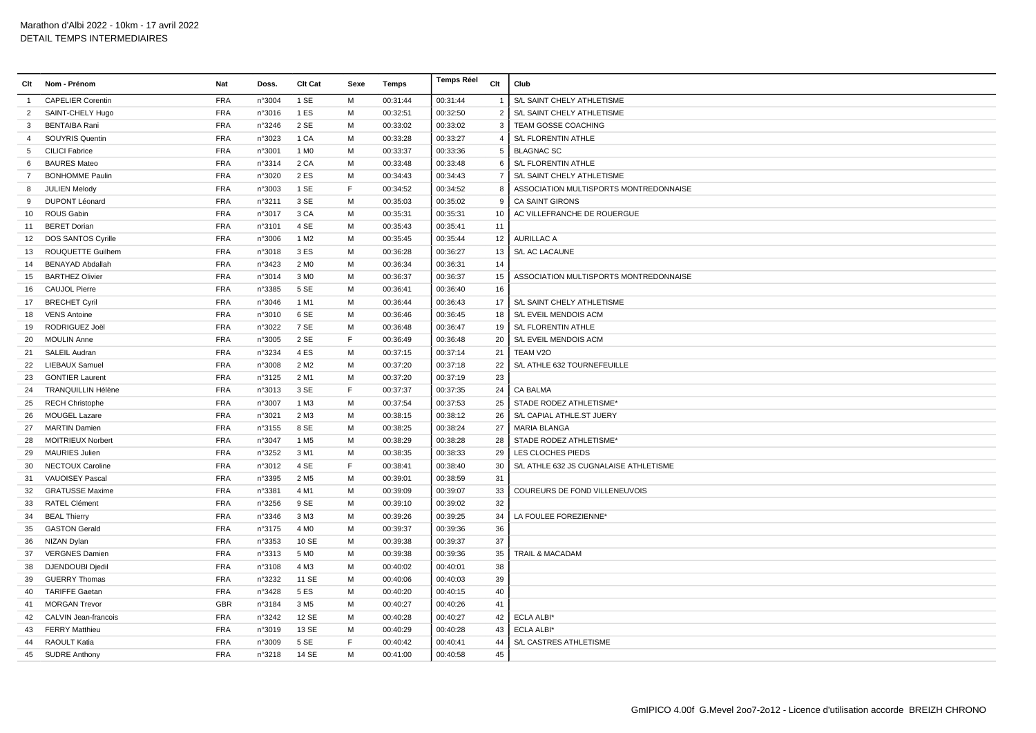| Clt            | Nom - Prénom              | Nat        | Doss.  | <b>Clt Cat</b>   | Sexe | <b>Temps</b> | <b>Temps Réel</b> | Clt            | Club                                   |
|----------------|---------------------------|------------|--------|------------------|------|--------------|-------------------|----------------|----------------------------------------|
| -1             | <b>CAPELIER Corentin</b>  | <b>FRA</b> | n°3004 | 1 SE             | м    | 00:31:44     | 00:31:44          |                | S/L SAINT CHELY ATHLETISME             |
| $\overline{2}$ | SAINT-CHELY Hugo          | <b>FRA</b> | n°3016 | 1 ES             | M    | 00:32:51     | 00:32:50          | $\overline{2}$ | S/L SAINT CHELY ATHLETISME             |
| 3              | <b>BENTAIBA Rani</b>      | <b>FRA</b> | n°3246 | 2 SE             | M    | 00:33:02     | 00:33:02          | 3              | TEAM GOSSE COACHING                    |
| 4              | SOUYRIS Quentin           | <b>FRA</b> | n°3023 | 1 CA             | м    | 00:33:28     | 00:33:27          | $\overline{4}$ | S/L FLORENTIN ATHLE                    |
| 5              | <b>CILICI Fabrice</b>     | FRA        | n°3001 | 1 M <sub>0</sub> | M    | 00:33:37     | 00:33:36          | $\mathbf 5$    | <b>BLAGNAC SC</b>                      |
| 6              | <b>BAURES Mateo</b>       | <b>FRA</b> | n°3314 | 2 CA             | M    | 00:33:48     | 00:33:48          | 6              | S/L FLORENTIN ATHLE                    |
| $\overline{7}$ | <b>BONHOMME Paulin</b>    | <b>FRA</b> | n°3020 | 2 ES             | M    | 00:34:43     | 00:34:43          | $\overline{7}$ | S/L SAINT CHELY ATHLETISME             |
| 8              | <b>JULIEN Melody</b>      | <b>FRA</b> | n°3003 | 1 SE             | F.   | 00:34:52     | 00:34:52          | 8              | ASSOCIATION MULTISPORTS MONTREDONNAISE |
| 9              | <b>DUPONT Léonard</b>     | <b>FRA</b> | n°3211 | 3 SE             | M    | 00:35:03     | 00:35:02          | 9              | <b>CA SAINT GIRONS</b>                 |
| 10             | <b>ROUS Gabin</b>         | <b>FRA</b> | n°3017 | 3 CA             | м    | 00:35:31     | 00:35:31          | 10             | AC VILLEFRANCHE DE ROUERGUE            |
| 11             | <b>BERET Dorian</b>       | <b>FRA</b> | n°3101 | 4 SE             | M    | 00:35:43     | 00:35:41          | 11             |                                        |
| 12             | <b>DOS SANTOS Cyrille</b> | <b>FRA</b> | n°3006 | 1 M <sub>2</sub> | M    | 00:35:45     | 00:35:44          | 12             | <b>AURILLAC A</b>                      |
| 13             | ROUQUETTE Guilhem         | <b>FRA</b> | n°3018 | 3 ES             | M    | 00:36:28     | 00:36:27          | 13             | S/L AC LACAUNE                         |
| 14             | <b>BENAYAD Abdallah</b>   | <b>FRA</b> | n°3423 | 2 M <sub>0</sub> | M    | 00:36:34     | 00:36:31          | 14             |                                        |
| 15             | <b>BARTHEZ Olivier</b>    | <b>FRA</b> | n°3014 | 3 M <sub>0</sub> | M    | 00:36:37     | 00:36:37          | 15             | ASSOCIATION MULTISPORTS MONTREDONNAISE |
| 16             | <b>CAUJOL Pierre</b>      | <b>FRA</b> | n°3385 | 5 SE             | M    | 00:36:41     | 00:36:40          | 16             |                                        |
| 17             | <b>BRECHET Cyril</b>      | <b>FRA</b> | n°3046 | 1 M1             | M    | 00:36:44     | 00:36:43          | 17             | S/L SAINT CHELY ATHLETISME             |
| 18             | <b>VENS Antoine</b>       | <b>FRA</b> | n°3010 | 6 SE             | M    | 00:36:46     | 00:36:45          | 18             | S/L EVEIL MENDOIS ACM                  |
| 19             | RODRIGUEZ Joël            | <b>FRA</b> | n°3022 | 7 SE             | M    | 00:36:48     | 00:36:47          | 19             | S/L FLORENTIN ATHLE                    |
| 20             | <b>MOULIN Anne</b>        | <b>FRA</b> | n°3005 | 2 SE             | F.   | 00:36:49     | 00:36:48          | 20             | S/L EVEIL MENDOIS ACM                  |
| 21             | SALEIL Audran             | <b>FRA</b> | n°3234 | 4 ES             | M    | 00:37:15     | 00:37:14          | 21             | TEAM V2O                               |
| 22             | LIEBAUX Samuel            | <b>FRA</b> | n°3008 | 2 M <sub>2</sub> | M    | 00:37:20     | 00:37:18          | 22             | S/L ATHLE 632 TOURNEFEUILLE            |
| 23             | <b>GONTIER Laurent</b>    | <b>FRA</b> | n°3125 | 2 M1             | M    | 00:37:20     | 00:37:19          | 23             |                                        |
| 24             | <b>TRANQUILLIN Hélène</b> | <b>FRA</b> | n°3013 | 3 SE             | F    | 00:37:37     | 00:37:35          | 24             | <b>CA BALMA</b>                        |
| 25             | <b>RECH Christophe</b>    | <b>FRA</b> | n°3007 | 1 M3             | M    | 00:37:54     | 00:37:53          | 25             | STADE RODEZ ATHLETISME*                |
| 26             | MOUGEL Lazare             | <b>FRA</b> | n°3021 | 2 M3             | M    | 00:38:15     | 00:38:12          | 26             | S/L CAPIAL ATHLE.ST JUERY              |
| 27             | <b>MARTIN Damien</b>      | <b>FRA</b> | n°3155 | 8 SE             | M    | 00:38:25     | 00:38:24          | 27             | MARIA BLANGA                           |
| 28             | <b>MOITRIEUX Norbert</b>  | <b>FRA</b> | n°3047 | 1 M <sub>5</sub> | M    | 00:38:29     | 00:38:28          | 28             | STADE RODEZ ATHLETISME®                |
| 29             | <b>MAURIES Julien</b>     | <b>FRA</b> | n°3252 | 3 M1             | M    | 00:38:35     | 00:38:33          | 29             | LES CLOCHES PIEDS                      |
| 30             | NECTOUX Caroline          | <b>FRA</b> | n°3012 | 4 SE             | F    | 00:38:41     | 00:38:40          | 30             | S/L ATHLE 632 JS CUGNALAISE ATHLETISME |
| 31             | <b>VAUOISEY Pascal</b>    | <b>FRA</b> | n°3395 | 2 M <sub>5</sub> | M    | 00:39:01     | 00:38:59          | 31             |                                        |
| 32             | <b>GRATUSSE Maxime</b>    | <b>FRA</b> | n°3381 | 4 M1             | M    | 00:39:09     | 00:39:07          | 33             | COUREURS DE FOND VILLENEUVOIS          |
| 33             | <b>RATEL Clément</b>      | <b>FRA</b> | n°3256 | 9 SE             | M    | 00:39:10     | 00:39:02          | 32             |                                        |
| 34             | <b>BEAL Thierry</b>       | <b>FRA</b> | n°3346 | 3 M3             | M    | 00:39:26     | 00:39:25          | 34             | LA FOULEE FOREZIENNE*                  |
| 35             | <b>GASTON Gerald</b>      | <b>FRA</b> | n°3175 | 4 M <sub>0</sub> | M    | 00:39:37     | 00:39:36          | 36             |                                        |
| 36             | NIZAN Dylan               | <b>FRA</b> | n°3353 | 10 SE            | M    | 00:39:38     | 00:39:37          | 37             |                                        |
| 37             | <b>VERGNES Damien</b>     | <b>FRA</b> | n°3313 | 5 M <sub>0</sub> | М    | 00:39:38     | 00:39:36          | 35             | TRAIL & MACADAM                        |
| 38             | DJENDOUBI Djedil          | <b>FRA</b> | n°3108 | 4 M3             | M    | 00:40:02     | 00:40:01          | 38             |                                        |
| 39             | <b>GUERRY Thomas</b>      | <b>FRA</b> | n°3232 | 11 SE            | M    | 00:40:06     | 00:40:03          | 39             |                                        |
| 40             | <b>TARIFFE Gaetan</b>     | <b>FRA</b> | n°3428 | 5 ES             | M    | 00:40:20     | 00:40:15          | 40             |                                        |
| 41             | <b>MORGAN Trevor</b>      | <b>GBR</b> | n°3184 | 3 M <sub>5</sub> | M    | 00:40:27     | 00:40:26          | 41             |                                        |
| 42             | CALVIN Jean-francois      | <b>FRA</b> | n°3242 | 12 SE            | M    | 00:40:28     | 00:40:27          | 42             | <b>ECLA ALBI*</b>                      |
| 43             | <b>FERRY Matthieu</b>     | <b>FRA</b> | n°3019 | 13 SE            | М    | 00:40:29     | 00:40:28          | 43             | <b>ECLA ALBI*</b>                      |
| 44             | <b>RAOULT Katia</b>       | <b>FRA</b> | n°3009 | 5 SE             | E    | 00:40:42     | 00:40:41          | 44             | <b>S/L CASTRES ATHLETISME</b>          |
|                | 45 SUDRE Anthony          | <b>FRA</b> | n°3218 | 14 SE            | M    | 00:41:00     | 00:40:58          | 45             |                                        |
|                |                           |            |        |                  |      |              |                   |                |                                        |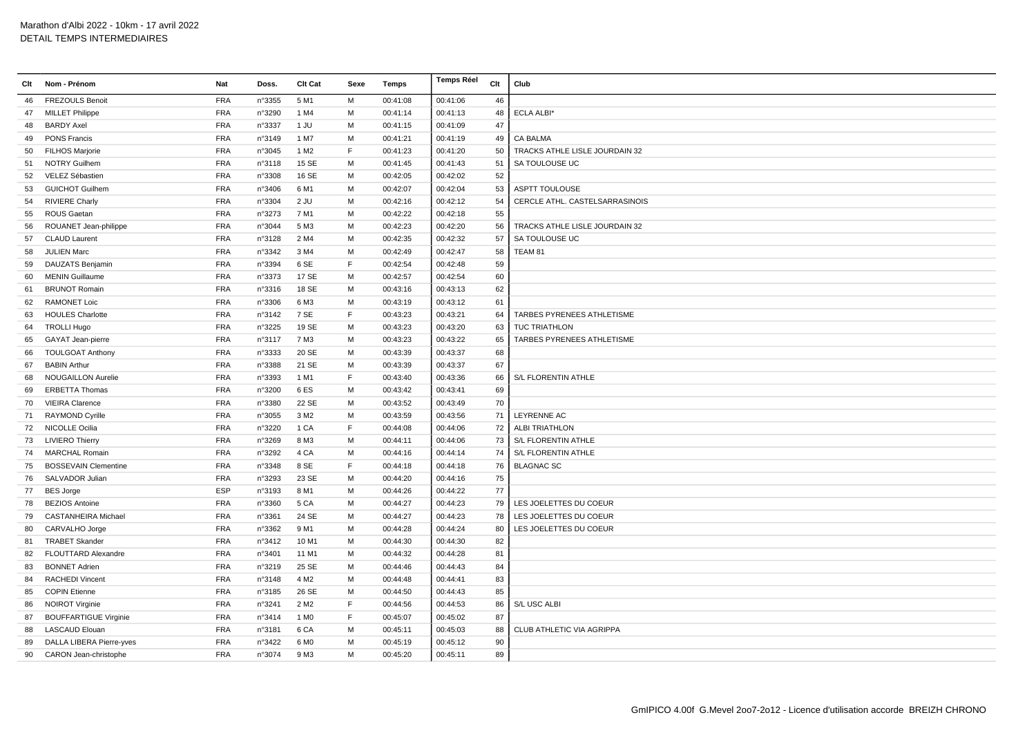| Clt | Nom - Prénom                 | <b>Nat</b> | Doss.  | Clt Cat          | Sexe | Temps    | <b>Temps Réel</b> | Clt | Club                           |
|-----|------------------------------|------------|--------|------------------|------|----------|-------------------|-----|--------------------------------|
| 46  | <b>FREZOULS Benoit</b>       | <b>FRA</b> | n°3355 | 5 M1             | M    | 00:41:08 | 00:41:06          | 46  |                                |
| 47  | <b>MILLET Philippe</b>       | <b>FRA</b> | n°3290 | 1 M4             | м    | 00:41:14 | 00:41:13          | 48  | ECLA ALBI*                     |
| 48  | <b>BARDY Axel</b>            | <b>FRA</b> | n°3337 | 1 JU             | M    | 00:41:15 | 00:41:09          | 47  |                                |
| 49  | <b>PONS Francis</b>          | <b>FRA</b> | n°3149 | 1 M7             | M    | 00:41:21 | 00:41:19          | 49  | CA BALMA                       |
| 50  | <b>FILHOS Marjorie</b>       | <b>FRA</b> | n°3045 | 1 M <sub>2</sub> | F    | 00:41:23 | 00:41:20          | 50  | TRACKS ATHLE LISLE JOURDAIN 32 |
| 51  | <b>NOTRY Guilhem</b>         | <b>FRA</b> | n°3118 | 15 SE            | м    | 00:41:45 | 00:41:43          | 51  | SA TOULOUSE UC                 |
| 52  | VELEZ Sébastien              | <b>FRA</b> | n°3308 | 16 SE            | м    | 00:42:05 | 00:42:02          | 52  |                                |
| 53  | <b>GUICHOT Guilhem</b>       | <b>FRA</b> | n°3406 | 6 M1             | M    | 00:42:07 | 00:42:04          | 53  | <b>ASPTT TOULOUSE</b>          |
| 54  | <b>RIVIERE Charly</b>        | <b>FRA</b> | n°3304 | $2$ JU           | M    | 00:42:16 | 00:42:12          | 54  | CERCLE ATHL. CASTELSARRASINOIS |
| 55  | ROUS Gaetan                  | <b>FRA</b> | n°3273 | 7 M1             | м    | 00:42:22 | 00:42:18          | 55  |                                |
| 56  | ROUANET Jean-philippe        | <b>FRA</b> | n°3044 | 5 M3             | м    | 00:42:23 | 00:42:20          | 56  | TRACKS ATHLE LISLE JOURDAIN 32 |
| 57  | <b>CLAUD Laurent</b>         | <b>FRA</b> | n°3128 | 2 M4             | м    | 00:42:35 | 00:42:32          | 57  | SA TOULOUSE UC                 |
| 58  | <b>JULIEN Marc</b>           | <b>FRA</b> | n°3342 | 3 M4             | M    | 00:42:49 | 00:42:47          | 58  | TEAM 81                        |
| 59  | DAUZATS Benjamin             | <b>FRA</b> | n°3394 | 6 SE             | F    | 00:42:54 | 00:42:48          | 59  |                                |
| 60  | <b>MENIN Guillaume</b>       | <b>FRA</b> | n°3373 | 17 SE            | M    | 00:42:57 | 00:42:54          | 60  |                                |
| 61  | <b>BRUNOT Romain</b>         | <b>FRA</b> | n°3316 | 18 SE            | м    | 00:43:16 | 00:43:13          | 62  |                                |
| 62  | <b>RAMONET Loic</b>          | FRA        | n°3306 | 6 M3             | M    | 00:43:19 | 00:43:12          | 61  |                                |
| 63  | <b>HOULES Charlotte</b>      | <b>FRA</b> | n°3142 | 7 SE             | F    | 00:43:23 | 00:43:21          | 64  | TARBES PYRENEES ATHLETISME     |
| 64  | <b>TROLLI Hugo</b>           | <b>FRA</b> | n°3225 | 19 SE            | м    | 00:43:23 | 00:43:20          | 63  | TUC TRIATHLON                  |
| 65  | GAYAT Jean-pierre            | <b>FRA</b> | n°3117 | 7 M3             | M    | 00:43:23 | 00:43:22          | 65  | TARBES PYRENEES ATHLETISME     |
| 66  | <b>TOULGOAT Anthony</b>      | <b>FRA</b> | n°3333 | 20 SE            | м    | 00:43:39 | 00:43:37          | 68  |                                |
| 67  | <b>BABIN Arthur</b>          | <b>FRA</b> | n°3388 | 21 SE            | M    | 00:43:39 | 00:43:37          | 67  |                                |
| 68  | <b>NOUGAILLON Aurelie</b>    | FRA        | n°3393 | 1 M1             | F    | 00:43:40 | 00:43:36          | 66  | <b>S/L FLORENTIN ATHLE</b>     |
| 69  | <b>ERBETTA Thomas</b>        | <b>FRA</b> | n°3200 | 6ES              | м    | 00:43:42 | 00:43:41          | 69  |                                |
| 70  | <b>VIEIRA Clarence</b>       | <b>FRA</b> | n°3380 | 22 SE            | M    | 00:43:52 | 00:43:49          | 70  |                                |
| 71  | <b>RAYMOND Cyrille</b>       | <b>FRA</b> | n°3055 | 3 M <sub>2</sub> | M    | 00:43:59 | 00:43:56          | 71  | LEYRENNE AC                    |
| 72  | <b>NICOLLE Ocilia</b>        | <b>FRA</b> | n°3220 | 1 CA             | F    | 00:44:08 | 00:44:06          | 72  | <b>ALBI TRIATHLON</b>          |
| 73  | <b>LIVIERO Thierry</b>       | <b>FRA</b> | n°3269 | 8 M3             | M    | 00:44:11 | 00:44:06          | 73  | S/L FLORENTIN ATHLE            |
| 74  | <b>MARCHAL Romain</b>        | <b>FRA</b> | n°3292 | 4 CA             | м    | 00:44:16 | 00:44:14          | 74  | S/L FLORENTIN ATHLE            |
| 75  | <b>BOSSEVAIN Clementine</b>  | <b>FRA</b> | n°3348 | 8 SE             | F    | 00:44:18 | 00:44:18          | 76  | <b>BLAGNAC SC</b>              |
| 76  | SALVADOR Julian              | <b>FRA</b> | n°3293 | 23 SE            | M    | 00:44:20 | 00:44:16          | 75  |                                |
| 77  | <b>BES Jorge</b>             | ESP        | n°3193 | 8 M1             | M    | 00:44:26 | 00:44:22          | 77  |                                |
| 78  | <b>BEZIOS Antoine</b>        | <b>FRA</b> | n°3360 | 5 CA             | M    | 00:44:27 | 00:44:23          | 79  | LES JOELETTES DU COEUR         |
| 79  | <b>CASTANHEIRA Michael</b>   | <b>FRA</b> | n°3361 | 24 SE            | м    | 00:44:27 | 00:44:23          | 78  | LES JOELETTES DU COEUR         |
| 80  | CARVALHO Jorge               | <b>FRA</b> | n°3362 | 9 M1             | м    | 00:44:28 | 00:44:24          | 80  | LES JOELETTES DU COEUR         |
| 81  | <b>TRABET Skander</b>        | <b>FRA</b> | n°3412 | 10 M1            | M    | 00:44:30 | 00:44:30          | 82  |                                |
| 82  | FLOUTTARD Alexandre          | <b>FRA</b> | n°3401 | 11 M1            | м    | 00:44:32 | 00:44:28          | 81  |                                |
| 83  | <b>BONNET Adrien</b>         | <b>FRA</b> | n°3219 | 25 SE            | м    | 00:44:46 | 00:44:43          | 84  |                                |
| 84  | <b>RACHEDI Vincent</b>       | <b>FRA</b> | n°3148 | 4 M <sub>2</sub> | м    | 00:44:48 | 00:44:41          | 83  |                                |
| 85  | <b>COPIN Etienne</b>         | <b>FRA</b> | n°3185 | 26 SE            | м    | 00:44:50 | 00:44:43          | 85  |                                |
| 86  | <b>NOIROT Virginie</b>       | <b>FRA</b> | n°3241 | 2 M <sub>2</sub> | E    | 00:44:56 | 00:44:53          | 86  | S/L USC ALBI                   |
| 87  | <b>BOUFFARTIGUE Virginie</b> | <b>FRA</b> | n°3414 | 1 M <sub>0</sub> | F    | 00:45:07 | 00:45:02          | 87  |                                |
| 88  | <b>LASCAUD Elouan</b>        | <b>FRA</b> | n°3181 | 6 CA             | м    | 00:45:11 | 00:45:03          | 88  | CLUB ATHLETIC VIA AGRIPPA      |
| 89  | DALLA LIBERA Pierre-yves     | <b>FRA</b> | n°3422 | 6 M <sub>0</sub> | м    | 00:45:19 | 00:45:12          | 90  |                                |
| 90  | CARON Jean-christophe        | <b>FRA</b> | n°3074 | 9 M3             | M    | 00:45:20 | 00:45:11          | 89  |                                |
|     |                              |            |        |                  |      |          |                   |     |                                |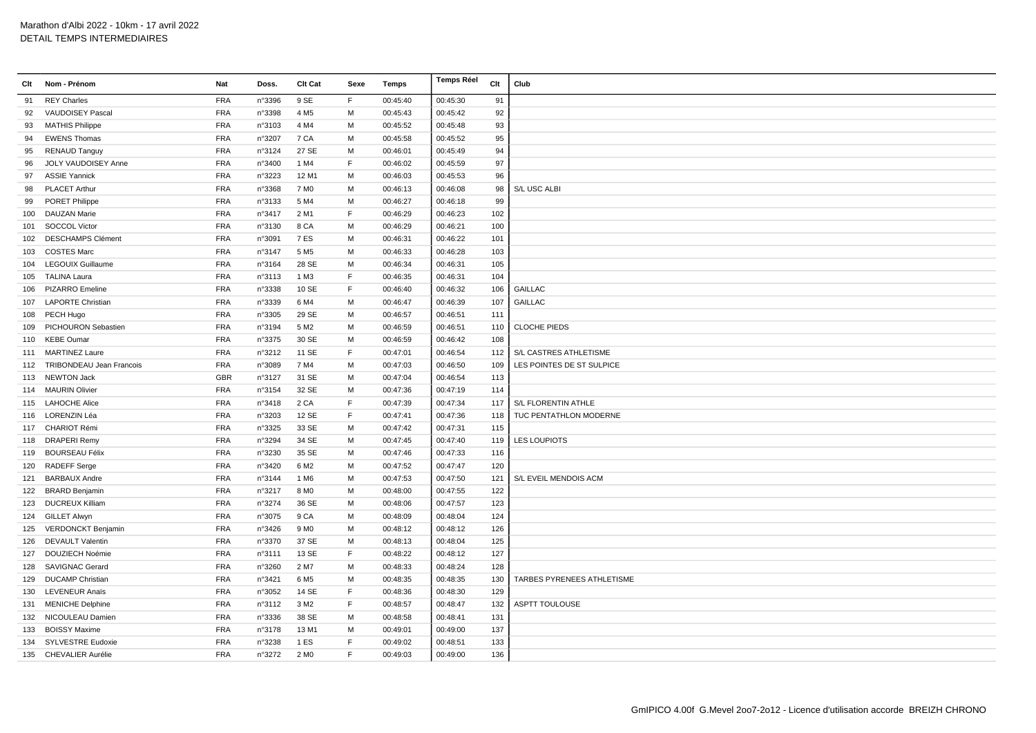| Clt | Nom - Prénom                 | Nat        | Doss.  | Clt Cat          | Sexe | Temps    | <b>Temps Réel</b> | Clt | Club                       |
|-----|------------------------------|------------|--------|------------------|------|----------|-------------------|-----|----------------------------|
| 91  | <b>REY Charles</b>           | <b>FRA</b> | n°3396 | 9 SE             | F    | 00:45:40 | 00:45:30          | 91  |                            |
| 92  | VAUDOISEY Pascal             | <b>FRA</b> | n°3398 | 4 M <sub>5</sub> | м    | 00:45:43 | 00:45:42          | 92  |                            |
| 93  | <b>MATHIS Philippe</b>       | <b>FRA</b> | n°3103 | 4 M4             | M    | 00:45:52 | 00:45:48          | 93  |                            |
| 94  | <b>EWENS Thomas</b>          | <b>FRA</b> | n°3207 | 7 CA             | M    | 00:45:58 | 00:45:52          | 95  |                            |
| 95  | <b>RENAUD Tanguy</b>         | <b>FRA</b> | n°3124 | 27 SE            | м    | 00:46:01 | 00:45:49          | 94  |                            |
| 96  | JOLY VAUDOISEY Anne          | <b>FRA</b> | n°3400 | 1 M4             | F    | 00:46:02 | 00:45:59          | 97  |                            |
| 97  | <b>ASSIE Yannick</b>         | <b>FRA</b> | n°3223 | 12 M1            | м    | 00:46:03 | 00:45:53          | 96  |                            |
| 98  | <b>PLACET Arthur</b>         | <b>FRA</b> | n°3368 | 7 M <sub>0</sub> | M    | 00:46:13 | 00:46:08          | 98  | S/L USC ALBI               |
| 99  | <b>PORET Philippe</b>        | <b>FRA</b> | n°3133 | 5 M4             | M    | 00:46:27 | 00:46:18          | 99  |                            |
| 100 | <b>DAUZAN Marie</b>          | <b>FRA</b> | n°3417 | 2 M1             | F    | 00:46:29 | 00:46:23          | 102 |                            |
|     | 101 SOCCOL Victor            | <b>FRA</b> | n°3130 | 8 CA             | м    | 00:46:29 | 00:46:21          | 100 |                            |
|     | 102 DESCHAMPS Clément        | <b>FRA</b> | n°3091 | 7 ES             | м    | 00:46:31 | 00:46:22          | 101 |                            |
| 103 | <b>COSTES Marc</b>           | <b>FRA</b> | n°3147 | 5 M <sub>5</sub> | M    | 00:46:33 | 00:46:28          | 103 |                            |
|     | 104 LEGOUIX Guillaume        | <b>FRA</b> | n°3164 | 28 SE            | M    | 00:46:34 | 00:46:31          | 105 |                            |
| 105 | <b>TALINA Laura</b>          | <b>FRA</b> | n°3113 | 1 M3             | F    | 00:46:35 | 00:46:31          | 104 |                            |
|     | 106 PIZARRO Emeline          | <b>FRA</b> | n°3338 | 10 SE            | F    | 00:46:40 | 00:46:32          | 106 | <b>GAILLAC</b>             |
|     | 107 LAPORTE Christian        | <b>FRA</b> | n°3339 | 6 M4             | м    | 00:46:47 | 00:46:39          | 107 | <b>GAILLAC</b>             |
|     | 108 PECH Hugo                | <b>FRA</b> | n°3305 | 29 SE            | M    | 00:46:57 | 00:46:51          | 111 |                            |
|     | 109 PICHOURON Sebastien      | <b>FRA</b> | n°3194 | 5 M <sub>2</sub> | M    | 00:46:59 | 00:46:51          | 110 | <b>CLOCHE PIEDS</b>        |
|     | 110 KEBE Oumar               | <b>FRA</b> | n°3375 | 30 SE            | м    | 00:46:59 | 00:46:42          | 108 |                            |
|     | 111 MARTINEZ Laure           | <b>FRA</b> | n°3212 | 11 SE            | F    | 00:47:01 | 00:46:54          | 112 | S/L CASTRES ATHLETISME     |
|     | 112 TRIBONDEAU Jean Francois | <b>FRA</b> | n°3089 | 7 M4             | M    | 00:47:03 | 00:46:50          | 109 | LES POINTES DE ST SULPICE  |
|     | 113 NEWTON Jack              | <b>GBR</b> | n°3127 | 31 SE            | M    | 00:47:04 | 00:46:54          | 113 |                            |
|     | 114 MAURIN Olivier           | <b>FRA</b> | n°3154 | 32 SE            | M    | 00:47:36 | 00:47:19          | 114 |                            |
|     | 115 LAHOCHE Alice            | <b>FRA</b> | n°3418 | 2 CA             | F    | 00:47:39 | 00:47:34          | 117 | S/L FLORENTIN ATHLE        |
|     | 116 LORENZIN Léa             | <b>FRA</b> | n°3203 | 12 SE            | F    | 00:47:41 | 00:47:36          | 118 | TUC PENTATHLON MODERNE     |
|     | 117 CHARIOT Rémi             | <b>FRA</b> | n°3325 | 33 SE            | M    | 00:47:42 | 00:47:31          | 115 |                            |
|     | 118 DRAPERI Remy             | <b>FRA</b> | n°3294 | 34 SE            | M    | 00:47:45 | 00:47:40          | 119 | <b>LES LOUPIOTS</b>        |
|     | 119 BOURSEAU Félix           | <b>FRA</b> | n°3230 | 35 SE            | м    | 00:47:46 | 00:47:33          | 116 |                            |
|     | 120 RADEFF Serge             | <b>FRA</b> | n°3420 | 6 M <sub>2</sub> | м    | 00:47:52 | 00:47:47          | 120 |                            |
| 121 | <b>BARBAUX Andre</b>         | <b>FRA</b> | n°3144 | 1 M <sub>6</sub> | м    | 00:47:53 | 00:47:50          | 121 | S/L EVEIL MENDOIS ACM      |
|     | 122 BRARD Benjamin           | <b>FRA</b> | n°3217 | 8 M <sub>0</sub> | M    | 00:48:00 | 00:47:55          | 122 |                            |
|     | 123 DUCREUX Killiam          | <b>FRA</b> | n°3274 | 36 SE            | M    | 00:48:06 | 00:47:57          | 123 |                            |
|     | 124 GILLET Alwyn             | <b>FRA</b> | n°3075 | 9 CA             | м    | 00:48:09 | 00:48:04          | 124 |                            |
|     | 125 VERDONCKT Benjamin       | <b>FRA</b> | n°3426 | 9 M <sub>0</sub> | м    | 00:48:12 | 00:48:12          | 126 |                            |
| 126 | <b>DEVAULT Valentin</b>      | <b>FRA</b> | n°3370 | 37 SE            | м    | 00:48:13 | 00:48:04          | 125 |                            |
|     | 127 DOUZIECH Noémie          | <b>FRA</b> | n°3111 | 13 SE            | E    | 00:48:22 | 00:48:12          | 127 |                            |
| 128 | <b>SAVIGNAC Gerard</b>       | <b>FRA</b> | n°3260 | 2 M7             | M    | 00:48:33 | 00:48:24          | 128 |                            |
| 129 | <b>DUCAMP Christian</b>      | <b>FRA</b> | n°3421 | 6 M <sub>5</sub> | м    | 00:48:35 | 00:48:35          | 130 | TARBES PYRENEES ATHLETISME |
| 130 | LEVENEUR Anaïs               | <b>FRA</b> | n°3052 | 14 SE            | F    | 00:48:36 | 00:48:30          | 129 |                            |
| 131 | <b>MENICHE Delphine</b>      | <b>FRA</b> | n°3112 | 3 M <sub>2</sub> | F    | 00:48:57 | 00:48:47          | 132 | ASPTT TOULOUSE             |
|     | 132 NICOULEAU Damien         | <b>FRA</b> | n°3336 | 38 SE            | м    | 00:48:58 | 00:48:41          | 131 |                            |
|     | 133 BOISSY Maxime            | <b>FRA</b> | n°3178 | 13 M1            | M    | 00:49:01 | 00:49:00          | 137 |                            |
|     | 134 SYLVESTRE Eudoxie        | <b>FRA</b> | n°3238 | 1 ES             | F    | 00:49:02 | 00:48:51          | 133 |                            |
|     | 135 CHEVALIER Aurélie        | <b>FRA</b> | n°3272 | 2 M <sub>0</sub> | E    | 00:49:03 | 00:49:00          | 136 |                            |
|     |                              |            |        |                  |      |          |                   |     |                            |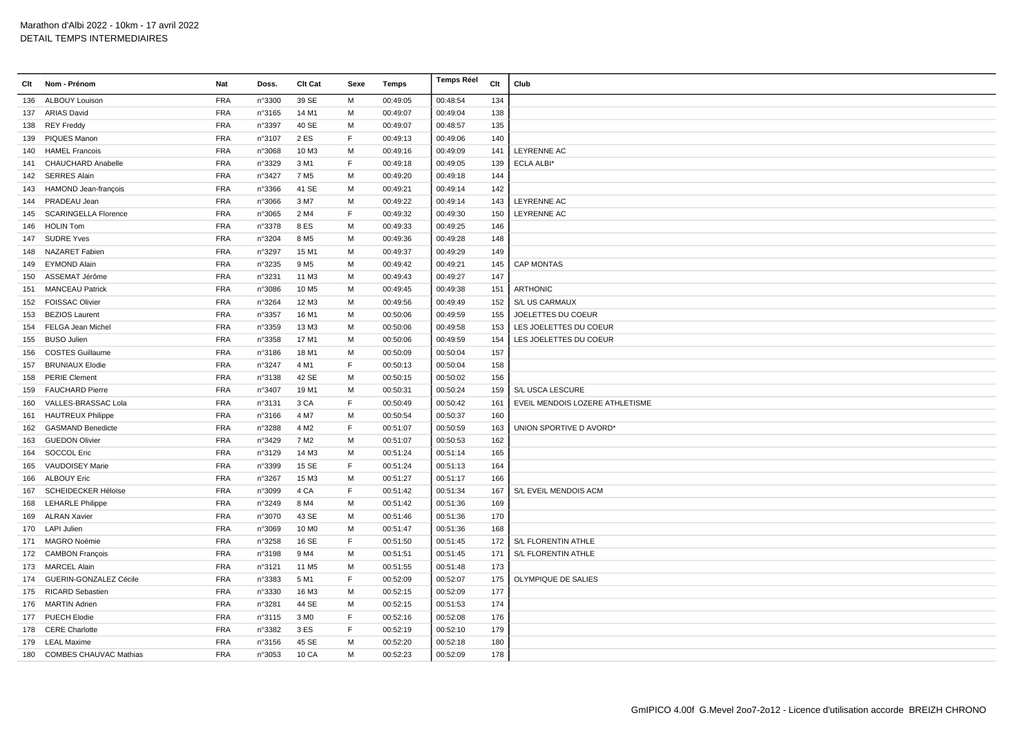| Clt | Nom - Prénom                | Nat        | Doss.  | Clt Cat           | Sexe        | Temps    | Temps Réel | Clt | Club                            |
|-----|-----------------------------|------------|--------|-------------------|-------------|----------|------------|-----|---------------------------------|
| 136 | <b>ALBOUY Louison</b>       | <b>FRA</b> | n°3300 | 39 SE             | M           | 00:49:05 | 00:48:54   | 134 |                                 |
|     | 137 ARIAS David             | <b>FRA</b> | n°3165 | 14 M1             | м           | 00:49:07 | 00:49:04   | 138 |                                 |
|     | 138 REY Freddy              | <b>FRA</b> | n°3397 | 40 SE             | M           | 00:49:07 | 00:48:57   | 135 |                                 |
|     | 139 PIQUES Manon            | <b>FRA</b> | n°3107 | 2 ES              | F           | 00:49:13 | 00:49:06   | 140 |                                 |
| 140 | <b>HAMEL Francois</b>       | <b>FRA</b> | n°3068 | 10 M3             | м           | 00:49:16 | 00:49:09   | 141 | LEYRENNE AC                     |
|     | 141 CHAUCHARD Anabelle      | <b>FRA</b> | n°3329 | 3 M1              | F           | 00:49:18 | 00:49:05   | 139 | <b>ECLA ALBI*</b>               |
|     | 142 SERRES Alain            | <b>FRA</b> | n°3427 | 7 M <sub>5</sub>  | м           | 00:49:20 | 00:49:18   | 144 |                                 |
| 143 | <b>HAMOND Jean-francois</b> | <b>FRA</b> | n°3366 | 41 SE             | M           | 00:49:21 | 00:49:14   | 142 |                                 |
|     | 144 PRADEAU Jean            | <b>FRA</b> | n°3066 | 3 M7              | M           | 00:49:22 | 00:49:14   | 143 | LEYRENNE AC                     |
| 145 | <b>SCARINGELLA Florence</b> | <b>FRA</b> | n°3065 | 2 M4              | F           | 00:49:32 | 00:49:30   | 150 | LEYRENNE AC                     |
|     | 146 HOLIN Tom               | <b>FRA</b> | n°3378 | 8 ES              | м           | 00:49:33 | 00:49:25   | 146 |                                 |
|     | 147 SUDRE Yves              | <b>FRA</b> | n°3204 | 8 M <sub>5</sub>  | м           | 00:49:36 | 00:49:28   | 148 |                                 |
| 148 | <b>NAZARET Fabien</b>       | <b>FRA</b> | n°3297 | 15 M1             | M           | 00:49:37 | 00:49:29   | 149 |                                 |
|     | 149 EYMOND Alain            | <b>FRA</b> | n°3235 | 9 M <sub>5</sub>  | M           | 00:49:42 | 00:49:21   | 145 | <b>CAP MONTAS</b>               |
| 150 | ASSEMAT Jérôme              | <b>FRA</b> | n°3231 | 11 M3             | м           | 00:49:43 | 00:49:27   | 147 |                                 |
|     | 151 MANCEAU Patrick         | <b>FRA</b> | n°3086 | 10 M <sub>5</sub> | м           | 00:49:45 | 00:49:38   | 151 | <b>ARTHONIC</b>                 |
|     | 152 FOISSAC Olivier         | <b>FRA</b> | n°3264 | 12 M3             | M           | 00:49:56 | 00:49:49   | 152 | S/L US CARMAUX                  |
|     | 153 BEZIOS Laurent          | <b>FRA</b> | n°3357 | 16 M1             | M           | 00:50:06 | 00:49:59   | 155 | JOELETTES DU COEUR              |
|     | 154 FELGA Jean Michel       | <b>FRA</b> | n°3359 | 13 M3             | м           | 00:50:06 | 00:49:58   | 153 | LES JOELETTES DU COEUR          |
|     | 155 BUSO Julien             | <b>FRA</b> | n°3358 | 17 M1             | М           | 00:50:06 | 00:49:59   | 154 | LES JOELETTES DU COEUR          |
|     | 156 COSTES Guillaume        | <b>FRA</b> | n°3186 | 18 M1             | м           | 00:50:09 | 00:50:04   | 157 |                                 |
|     | 157 BRUNIAUX Elodie         | <b>FRA</b> | n°3247 | 4 M1              | E           | 00:50:13 | 00:50:04   | 158 |                                 |
|     | 158 PERIE Clement           | <b>FRA</b> | n°3138 | 42 SE             | M           | 00:50:15 | 00:50:02   | 156 |                                 |
|     | 159 FAUCHARD Pierre         | <b>FRA</b> | n°3407 | 19 M1             | М           | 00:50:31 | 00:50:24   | 159 | S/L USCA LESCURE                |
| 160 | VALLES-BRASSAC Lola         | <b>FRA</b> | n°3131 | 3 CA              | F           | 00:50:49 | 00:50:42   | 161 | EVEIL MENDOIS LOZERE ATHLETISME |
| 161 | <b>HAUTREUX Philippe</b>    | <b>FRA</b> | n°3166 | 4 M7              | M           | 00:50:54 | 00:50:37   | 160 |                                 |
|     | 162 GASMAND Benedicte       | <b>FRA</b> | n°3288 | 4 M <sub>2</sub>  | E           | 00:51:07 | 00:50:59   | 163 | UNION SPORTIVE D AVORD*         |
|     | 163 GUEDON Olivier          | <b>FRA</b> | n°3429 | 7 M <sub>2</sub>  | M           | 00:51:07 | 00:50:53   | 162 |                                 |
| 164 | <b>SOCCOL Eric</b>          | <b>FRA</b> | n°3129 | 14 M3             | м           | 00:51:24 | 00:51:14   | 165 |                                 |
| 165 | VAUDOISEY Marie             | <b>FRA</b> | n°3399 | 15 SE             | F           | 00:51:24 | 00:51:13   | 164 |                                 |
|     | 166 ALBOUY Eric             | <b>FRA</b> | n°3267 | 15 M3             | M           | 00:51:27 | 00:51:17   | 166 |                                 |
|     | 167 SCHEIDECKER Héloïse     | <b>FRA</b> | n°3099 | 4 CA              | F           | 00:51:42 | 00:51:34   | 167 | S/L EVEIL MENDOIS ACM           |
|     | 168 LEHARLE Philippe        | <b>FRA</b> | n°3249 | 8 M4              | M           | 00:51:42 | 00:51:36   | 169 |                                 |
| 169 | <b>ALRAN Xavier</b>         | <b>FRA</b> | n°3070 | 43 SE             | М           | 00:51:46 | 00:51:36   | 170 |                                 |
|     | 170 LAPI Julien             | <b>FRA</b> | n°3069 | 10 M <sub>0</sub> | м           | 00:51:47 | 00:51:36   | 168 |                                 |
|     | 171 MAGRO Noémie            | <b>FRA</b> | n°3258 | 16 SE             | F           | 00:51:50 | 00:51:45   | 172 | S/L FLORENTIN ATHLE             |
|     | 172 CAMBON François         | <b>FRA</b> | n°3198 | 9 M4              | М           | 00:51:51 | 00:51:45   | 171 | S/L FLORENTIN ATHLE             |
|     | 173 MARCEL Alain            | <b>FRA</b> | n°3121 | 11 M <sub>5</sub> | M           | 00:51:55 | 00:51:48   | 173 |                                 |
|     | 174 GUERIN-GONZALEZ Cécile  | <b>FRA</b> | n°3383 | 5 M1              | F           | 00:52:09 | 00:52:07   | 175 | OLYMPIQUE DE SALIES             |
|     | 175 RICARD Sebastien        | <b>FRA</b> | n°3330 | 16 M3             | м           | 00:52:15 | 00:52:09   | 177 |                                 |
|     | 176 MARTIN Adrien           | <b>FRA</b> | n°3281 | 44 SE             | M           | 00:52:15 | 00:51:53   | 174 |                                 |
|     | 177 PUECH Elodie            | <b>FRA</b> | n°3115 | 3 M <sub>0</sub>  | $\mathsf F$ | 00:52:16 | 00:52:08   | 176 |                                 |
|     | 178 CERE Charlotte          | <b>FRA</b> | n°3382 | 3 ES              | F           | 00:52:19 | 00:52:10   | 179 |                                 |
|     | 179 LEAL Maxime             | <b>FRA</b> | n°3156 | 45 SE             | м           | 00:52:20 | 00:52:18   | 180 |                                 |
|     | 180 COMBES CHAUVAC Mathias  | <b>FRA</b> | n°3053 | 10 CA             | M           | 00:52:23 | 00:52:09   | 178 |                                 |
|     |                             |            |        |                   |             |          |            |     |                                 |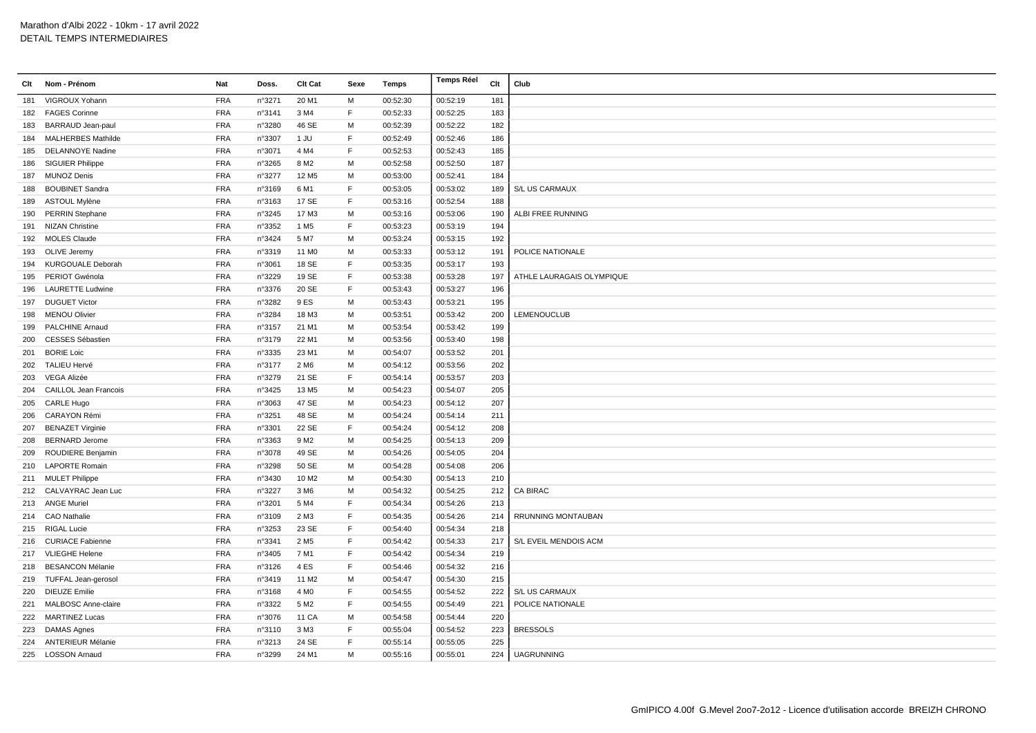| Clt | Nom - Prénom                 | Nat        | Doss.  | Clt Cat           | Sexe | Temps    | <b>Temps Réel</b> | Clt | Club                      |
|-----|------------------------------|------------|--------|-------------------|------|----------|-------------------|-----|---------------------------|
| 181 | VIGROUX Yohann               | <b>FRA</b> | n°3271 | 20 M1             | M    | 00:52:30 | 00:52:19          | 181 |                           |
|     | 182 FAGES Corinne            | <b>FRA</b> | n°3141 | 3 M4              | F    | 00:52:33 | 00:52:25          | 183 |                           |
| 183 | <b>BARRAUD Jean-paul</b>     | <b>FRA</b> | n°3280 | 46 SE             | M    | 00:52:39 | 00:52:22          | 182 |                           |
|     | 184 MALHERBES Mathilde       | <b>FRA</b> | n°3307 | 1 JU              | F    | 00:52:49 | 00:52:46          | 186 |                           |
| 185 | <b>DELANNOYE Nadine</b>      | <b>FRA</b> | n°3071 | 4 M4              | F    | 00:52:53 | 00:52:43          | 185 |                           |
| 186 | <b>SIGUIER Philippe</b>      | <b>FRA</b> | n°3265 | 8 M <sub>2</sub>  | M    | 00:52:58 | 00:52:50          | 187 |                           |
|     | 187 MUNOZ Denis              | <b>FRA</b> | n°3277 | 12 M <sub>5</sub> | M    | 00:53:00 | 00:52:41          | 184 |                           |
| 188 | <b>BOUBINET Sandra</b>       | <b>FRA</b> | n°3169 | 6 M1              | F    | 00:53:05 | 00:53:02          | 189 | S/L US CARMAUX            |
|     | 189 ASTOUL Mylène            | <b>FRA</b> | n°3163 | 17 SE             | F.   | 00:53:16 | 00:52:54          | 188 |                           |
|     | 190 PERRIN Stephane          | <b>FRA</b> | n°3245 | 17 M3             | M    | 00:53:16 | 00:53:06          | 190 | ALBI FREE RUNNING         |
| 191 | <b>NIZAN Christine</b>       | <b>FRA</b> | n°3352 | 1 M <sub>5</sub>  | F    | 00:53:23 | 00:53:19          | 194 |                           |
|     | 192 MOLES Claude             | <b>FRA</b> | n°3424 | 5 M7              | M    | 00:53:24 | 00:53:15          | 192 |                           |
|     | 193 OLIVE Jeremy             | <b>FRA</b> | n°3319 | 11 M <sub>0</sub> | M    | 00:53:33 | 00:53:12          | 191 | POLICE NATIONALE          |
| 194 | <b>KURGOUALE Deborah</b>     | <b>FRA</b> | n°3061 | 18 SE             | F    | 00:53:35 | 00:53:17          | 193 |                           |
|     | 195 PERIOT Gwénola           | <b>FRA</b> | n°3229 | 19 SE             | F    | 00:53:38 | 00:53:28          | 197 | ATHLE LAURAGAIS OLYMPIQUE |
|     | 196 LAURETTE Ludwine         | <b>FRA</b> | n°3376 | 20 SE             | F    | 00:53:43 | 00:53:27          | 196 |                           |
|     | 197 DUGUET Victor            | <b>FRA</b> | n°3282 | 9 ES              | M    | 00:53:43 | 00:53:21          | 195 |                           |
|     | 198 MENOU Olivier            | <b>FRA</b> | n°3284 | 18 M3             | M    | 00:53:51 | 00:53:42          | 200 | LEMENOUCLUB               |
| 199 | <b>PALCHINE Arnaud</b>       | <b>FRA</b> | n°3157 | 21 M1             | M    | 00:53:54 | 00:53:42          | 199 |                           |
| 200 | <b>CESSES Sébastien</b>      | <b>FRA</b> | n°3179 | 22 M1             | M    | 00:53:56 | 00:53:40          | 198 |                           |
| 201 | <b>BORIE Loic</b>            | <b>FRA</b> | n°3335 | 23 M1             | М    | 00:54:07 | 00:53:52          | 201 |                           |
| 202 | <b>TALIEU Hervé</b>          | <b>FRA</b> | n°3177 | 2 M <sub>6</sub>  | M    | 00:54:12 | 00:53:56          | 202 |                           |
| 203 | VEGA Alizée                  | <b>FRA</b> | n°3279 | 21 SE             | F    | 00:54:14 | 00:53:57          | 203 |                           |
| 204 | <b>CAILLOL Jean Francois</b> | <b>FRA</b> | n°3425 | 13 M <sub>5</sub> | M    | 00:54:23 | 00:54:07          | 205 |                           |
|     | 205 CARLE Hugo               | <b>FRA</b> | n°3063 | 47 SE             | M    | 00:54:23 | 00:54:12          | 207 |                           |
|     | 206 CARAYON Rémi             | <b>FRA</b> | n°3251 | 48 SE             | М    | 00:54:24 | 00:54:14          | 211 |                           |
| 207 | <b>BENAZET Virginie</b>      | <b>FRA</b> | n°3301 | 22 SE             | F    | 00:54:24 | 00:54:12          | 208 |                           |
|     | 208 BERNARD Jerome           | <b>FRA</b> | n°3363 | 9 M <sub>2</sub>  | M    | 00:54:25 | 00:54:13          | 209 |                           |
| 209 | <b>ROUDIERE Benjamin</b>     | <b>FRA</b> | n°3078 | 49 SE             | M    | 00:54:26 | 00:54:05          | 204 |                           |
|     | 210 LAPORTE Romain           | <b>FRA</b> | n°3298 | 50 SE             | M    | 00:54:28 | 00:54:08          | 206 |                           |
|     | 211 MULET Philippe           | <b>FRA</b> | n°3430 | 10 M <sub>2</sub> | M    | 00:54:30 | 00:54:13          | 210 |                           |
| 212 | CALVAYRAC Jean Luc           | <b>FRA</b> | n°3227 | 3 M <sub>6</sub>  | M    | 00:54:32 | 00:54:25          | 212 | <b>CA BIRAC</b>           |
|     | 213 ANGE Muriel              | <b>FRA</b> | n°3201 | 5 M4              | F    | 00:54:34 | 00:54:26          | 213 |                           |
|     | 214 CAO Nathalie             | <b>FRA</b> | n°3109 | 2 M3              | F    | 00:54:35 | 00:54:26          | 214 | RRUNNING MONTAUBAN        |
| 215 | <b>RIGAL Lucie</b>           | <b>FRA</b> | n°3253 | 23 SE             | F    | 00:54:40 | 00:54:34          | 218 |                           |
|     | 216 CURIACE Fabienne         | <b>FRA</b> | n°3341 | 2 M <sub>5</sub>  | F    | 00:54:42 | 00:54:33          | 217 | S/L EVEIL MENDOIS ACM     |
| 217 | <b>VLIEGHE Helene</b>        | <b>FRA</b> | n°3405 | 7 M1              | F    | 00:54:42 | 00:54:34          | 219 |                           |
|     | 218 BESANCON Mélanie         | <b>FRA</b> | n°3126 | 4ES               | F    | 00:54:46 | 00:54:32          | 216 |                           |
|     | 219 TUFFAL Jean-gerosol      | <b>FRA</b> | n°3419 | 11 M <sub>2</sub> | M    | 00:54:47 | 00:54:30          | 215 |                           |
| 220 | <b>DIEUZE Emilie</b>         | <b>FRA</b> | n°3168 | 4 M <sub>0</sub>  | F    | 00:54:55 | 00:54:52          | 222 | S/L US CARMAUX            |
| 221 | <b>MALBOSC Anne-claire</b>   | <b>FRA</b> | n°3322 | 5 M <sub>2</sub>  | F    | 00:54:55 | 00:54:49          | 221 | POLICE NATIONALE          |
|     | 222 MARTINEZ Lucas           | <b>FRA</b> | n°3076 | 11 CA             | М    | 00:54:58 | 00:54:44          | 220 |                           |
|     | 223 DAMAS Agnes              | <b>FRA</b> | n°3110 | 3 M3              | F    | 00:55:04 | 00:54:52          | 223 | <b>BRESSOLS</b>           |
|     | 224 ANTERIEUR Mélanie        | <b>FRA</b> | n°3213 | 24 SE             | F    | 00:55:14 | 00:55:05          | 225 |                           |
|     | 225 LOSSON Arnaud            | <b>FRA</b> | n°3299 | 24 M1             | M    | 00:55:16 | 00:55:01          | 224 | <b>UAGRUNNING</b>         |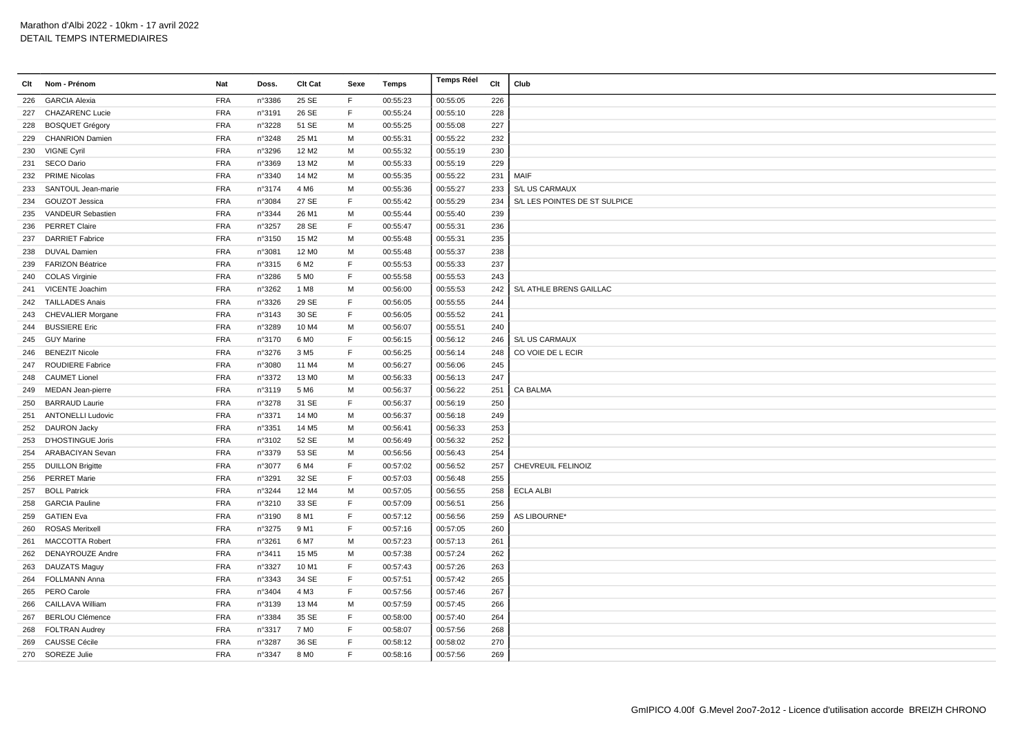| Clt | Nom - Prénom             | <b>Nat</b> | Doss.  | Clt Cat           | Sexe        | Temps    | <b>Temps Réel</b> | Clt | Club                          |
|-----|--------------------------|------------|--------|-------------------|-------------|----------|-------------------|-----|-------------------------------|
| 226 | <b>GARCIA Alexia</b>     | <b>FRA</b> | n°3386 | 25 SE             | F           | 00:55:23 | 00:55:05          | 226 |                               |
| 227 | <b>CHAZARENC Lucie</b>   | <b>FRA</b> | n°3191 | 26 SE             | $\mathsf F$ | 00:55:24 | 00:55:10          | 228 |                               |
| 228 | <b>BOSQUET Grégory</b>   | <b>FRA</b> | n°3228 | 51 SE             | M           | 00:55:25 | 00:55:08          | 227 |                               |
| 229 | <b>CHANRION Damien</b>   | <b>FRA</b> | n°3248 | 25 M1             | м           | 00:55:31 | 00:55:22          | 232 |                               |
| 230 | <b>VIGNE Cyril</b>       | <b>FRA</b> | n°3296 | 12 M <sub>2</sub> | м           | 00:55:32 | 00:55:19          | 230 |                               |
| 231 | SECO Dario               | <b>FRA</b> | n°3369 | 13 M2             | M           | 00:55:33 | 00:55:19          | 229 |                               |
| 232 | <b>PRIME Nicolas</b>     | <b>FRA</b> | n°3340 | 14 M <sub>2</sub> | M           | 00:55:35 | 00:55:22          | 231 | MAIF                          |
| 233 | SANTOUL Jean-marie       | <b>FRA</b> | n°3174 | 4 M <sub>6</sub>  | M           | 00:55:36 | 00:55:27          | 233 | S/L US CARMAUX                |
| 234 | GOUZOT Jessica           | <b>FRA</b> | n°3084 | 27 SE             | F.          | 00:55:42 | 00:55:29          | 234 | S/L LES POINTES DE ST SULPICE |
| 235 | VANDEUR Sebastien        | <b>FRA</b> | n°3344 | 26 M1             | M           | 00:55:44 | 00:55:40          | 239 |                               |
| 236 | <b>PERRET Claire</b>     | <b>FRA</b> | n°3257 | 28 SE             | F           | 00:55:47 | 00:55:31          | 236 |                               |
| 237 | <b>DARRIET Fabrice</b>   | <b>FRA</b> | n°3150 | 15 M2             | M           | 00:55:48 | 00:55:31          | 235 |                               |
| 238 | <b>DUVAL Damien</b>      | <b>FRA</b> | n°3081 | 12 M <sub>0</sub> | М           | 00:55:48 | 00:55:37          | 238 |                               |
| 239 | <b>FARIZON Béatrice</b>  | <b>FRA</b> | n°3315 | 6 M <sub>2</sub>  | F           | 00:55:53 | 00:55:33          | 237 |                               |
| 240 | <b>COLAS Virginie</b>    | <b>FRA</b> | n°3286 | 5 M <sub>0</sub>  | $\mathsf F$ | 00:55:58 | 00:55:53          | 243 |                               |
|     | 241 VICENTE Joachim      | <b>FRA</b> | n°3262 | 1 M8              | м           | 00:56:00 | 00:55:53          | 242 | S/L ATHLE BRENS GAILLAC       |
|     | 242 TAILLADES Anais      | <b>FRA</b> | n°3326 | 29 SE             | F           | 00:56:05 | 00:55:55          | 244 |                               |
| 243 | <b>CHEVALIER Morgane</b> | <b>FRA</b> | n°3143 | 30 SE             | F           | 00:56:05 | 00:55:52          | 241 |                               |
| 244 | <b>BUSSIERE Eric</b>     | <b>FRA</b> | n°3289 | 10 M4             | М           | 00:56:07 | 00:55:51          | 240 |                               |
| 245 | <b>GUY Marine</b>        | <b>FRA</b> | n°3170 | 6 M <sub>0</sub>  | F           | 00:56:15 | 00:56:12          | 246 | S/L US CARMAUX                |
| 246 | <b>BENEZIT Nicole</b>    | <b>FRA</b> | n°3276 | 3 M <sub>5</sub>  | F           | 00:56:25 | 00:56:14          | 248 | CO VOIE DE L ECIR             |
| 247 | <b>ROUDIERE Fabrice</b>  | <b>FRA</b> | n°3080 | 11 M4             | M           | 00:56:27 | 00:56:06          | 245 |                               |
| 248 | <b>CAUMET Lionel</b>     | <b>FRA</b> | n°3372 | 13 M <sub>0</sub> | M           | 00:56:33 | 00:56:13          | 247 |                               |
| 249 | MEDAN Jean-pierre        | <b>FRA</b> | n°3119 | 5 M <sub>6</sub>  | M           | 00:56:37 | 00:56:22          | 251 | <b>CA BALMA</b>               |
| 250 | <b>BARRAUD Laurie</b>    | <b>FRA</b> | n°3278 | 31 SE             | $\mathsf F$ | 00:56:37 | 00:56:19          | 250 |                               |
|     | 251 ANTONELLI Ludovic    | <b>FRA</b> | n°3371 | 14 M <sub>0</sub> | м           | 00:56:37 | 00:56:18          | 249 |                               |
| 252 | <b>DAURON Jacky</b>      | <b>FRA</b> | n°3351 | 14 M <sub>5</sub> | м           | 00:56:41 | 00:56:33          | 253 |                               |
| 253 | <b>D'HOSTINGUE Joris</b> | <b>FRA</b> | n°3102 | 52 SE             | M           | 00:56:49 | 00:56:32          | 252 |                               |
| 254 | ARABACIYAN Sevan         | <b>FRA</b> | n°3379 | 53 SE             | М           | 00:56:56 | 00:56:43          | 254 |                               |
| 255 | <b>DUILLON Brigitte</b>  | <b>FRA</b> | n°3077 | 6 M4              | $\mathsf F$ | 00:57:02 | 00:56:52          | 257 | CHEVREUIL FELINOIZ            |
| 256 | <b>PERRET Marie</b>      | <b>FRA</b> | n°3291 | 32 SE             | F           | 00:57:03 | 00:56:48          | 255 |                               |
| 257 | <b>BOLL Patrick</b>      | <b>FRA</b> | n°3244 | 12 M4             | M           | 00:57:05 | 00:56:55          | 258 | <b>ECLA ALBI</b>              |
| 258 | <b>GARCIA Pauline</b>    | <b>FRA</b> | n°3210 | 33 SE             | F.          | 00:57:09 | 00:56:51          | 256 |                               |
| 259 | <b>GATIEN Eva</b>        | <b>FRA</b> | n°3190 | 8 M1              | F           | 00:57:12 | 00:56:56          | 259 | AS LIBOURNE*                  |
| 260 | <b>ROSAS Meritxell</b>   | <b>FRA</b> | n°3275 | 9 M1              | F           | 00:57:16 | 00:57:05          | 260 |                               |
| 261 | <b>MACCOTTA Robert</b>   | <b>FRA</b> | n°3261 | 6 M7              | M           | 00:57:23 | 00:57:13          | 261 |                               |
| 262 | DENAYROUZE Andre         | <b>FRA</b> | n°3411 | 15 M <sub>5</sub> | M           | 00:57:38 | 00:57:24          | 262 |                               |
| 263 | DAUZATS Maguy            | <b>FRA</b> | n°3327 | 10 M1             | F           | 00:57:43 | 00:57:26          | 263 |                               |
| 264 | <b>FOLLMANN Anna</b>     | <b>FRA</b> | n°3343 | 34 SE             | F           | 00:57:51 | 00:57:42          | 265 |                               |
| 265 | PERO Carole              | <b>FRA</b> | n°3404 | 4 M3              | $\mathsf F$ | 00:57:56 | 00:57:46          | 267 |                               |
| 266 | <b>CAILLAVA William</b>  | <b>FRA</b> | n°3139 | 13 M4             | м           | 00:57:59 | 00:57:45          | 266 |                               |
| 267 | <b>BERLOU Clémence</b>   | <b>FRA</b> | n°3384 | 35 SE             | E           | 00:58:00 | 00:57:40          | 264 |                               |
| 268 | <b>FOLTRAN Audrey</b>    | <b>FRA</b> | n°3317 | 7 M <sub>0</sub>  | F           | 00:58:07 | 00:57:56          | 268 |                               |
| 269 | <b>CAUSSE Cécile</b>     | <b>FRA</b> | n°3287 | 36 SE             | F           | 00:58:12 | 00:58:02          | 270 |                               |
|     | 270 SOREZE Julie         | <b>FRA</b> | n°3347 | 8 M <sub>O</sub>  | E           | 00:58:16 | 00:57:56          | 269 |                               |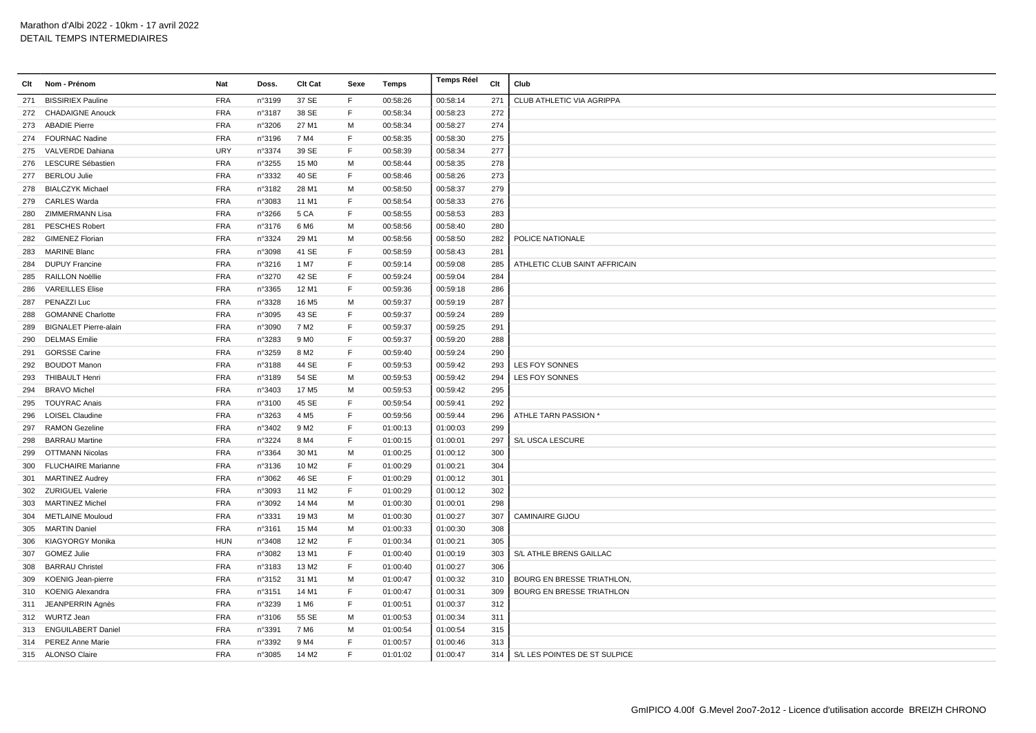| Clt | Nom - Prénom                 | Nat        | Doss.  | <b>Clt Cat</b>    | Sexe        | Temps    | Temps Réel | Clt | Club                             |
|-----|------------------------------|------------|--------|-------------------|-------------|----------|------------|-----|----------------------------------|
| 271 | <b>BISSIRIEX Pauline</b>     | <b>FRA</b> | n°3199 | 37 SE             | F           | 00:58:26 | 00:58:14   | 271 | CLUB ATHLETIC VIA AGRIPPA        |
| 272 | <b>CHADAIGNE Anouck</b>      | <b>FRA</b> | n°3187 | 38 SE             | F           | 00:58:34 | 00:58:23   | 272 |                                  |
| 273 | <b>ABADIE Pierre</b>         | <b>FRA</b> | n°3206 | 27 M1             | м           | 00:58:34 | 00:58:27   | 274 |                                  |
|     | 274 FOURNAC Nadine           | <b>FRA</b> | n°3196 | 7 M4              | F           | 00:58:35 | 00:58:30   | 275 |                                  |
| 275 | VALVERDE Dahiana             | <b>URY</b> | n°3374 | 39 SE             | F           | 00:58:39 | 00:58:34   | 277 |                                  |
|     | 276 LESCURE Sébastien        | <b>FRA</b> | n°3255 | 15 M <sub>0</sub> | M           | 00:58:44 | 00:58:35   | 278 |                                  |
| 277 | <b>BERLOU Julie</b>          | <b>FRA</b> | n°3332 | 40 SE             | F           | 00:58:46 | 00:58:26   | 273 |                                  |
| 278 | <b>BIALCZYK Michael</b>      | <b>FRA</b> | n°3182 | 28 M1             | м           | 00:58:50 | 00:58:37   | 279 |                                  |
| 279 | <b>CARLES Warda</b>          | <b>FRA</b> | n°3083 | 11 M1             | E           | 00:58:54 | 00:58:33   | 276 |                                  |
| 280 | ZIMMERMANN Lisa              | <b>FRA</b> | n°3266 | 5 CA              | $\mathsf F$ | 00:58:55 | 00:58:53   | 283 |                                  |
| 281 | <b>PESCHES Robert</b>        | <b>FRA</b> | n°3176 | 6 M6              | M           | 00:58:56 | 00:58:40   | 280 |                                  |
| 282 | <b>GIMENEZ Florian</b>       | <b>FRA</b> | n°3324 | 29 M1             | М           | 00:58:56 | 00:58:50   | 282 | POLICE NATIONALE                 |
| 283 | <b>MARINE Blanc</b>          | <b>FRA</b> | n°3098 | 41 SE             | F           | 00:58:59 | 00:58:43   | 281 |                                  |
| 284 | <b>DUPUY Francine</b>        | <b>FRA</b> | n°3216 | 1 M7              | E           | 00:59:14 | 00:59:08   | 285 | ATHLETIC CLUB SAINT AFFRICAIN    |
| 285 | <b>RAILLON Noëllie</b>       | <b>FRA</b> | n°3270 | 42 SE             | F           | 00:59:24 | 00:59:04   | 284 |                                  |
| 286 | <b>VAREILLES Elise</b>       | <b>FRA</b> | n°3365 | 12 M1             | F           | 00:59:36 | 00:59:18   | 286 |                                  |
| 287 | PENAZZI Luc                  | <b>FRA</b> | n°3328 | 16 M <sub>5</sub> | M           | 00:59:37 | 00:59:19   | 287 |                                  |
| 288 | <b>GOMANNE Charlotte</b>     | <b>FRA</b> | n°3095 | 43 SE             | F           | 00:59:37 | 00:59:24   | 289 |                                  |
| 289 | <b>BIGNALET Pierre-alain</b> | <b>FRA</b> | n°3090 | 7 M <sub>2</sub>  | E           | 00:59:37 | 00:59:25   | 291 |                                  |
| 290 | <b>DELMAS</b> Emilie         | <b>FRA</b> | n°3283 | 9 M <sub>0</sub>  | F           | 00:59:37 | 00:59:20   | 288 |                                  |
| 291 | <b>GORSSE Carine</b>         | <b>FRA</b> | n°3259 | 8 M <sub>2</sub>  | F           | 00:59:40 | 00:59:24   | 290 |                                  |
| 292 | <b>BOUDOT Manon</b>          | <b>FRA</b> | n°3188 | 44 SE             | F           | 00:59:53 | 00:59:42   | 293 | LES FOY SONNES                   |
| 293 | <b>THIBAULT Henri</b>        | <b>FRA</b> | n°3189 | 54 SE             | M           | 00:59:53 | 00:59:42   | 294 | LES FOY SONNES                   |
| 294 | <b>BRAVO Michel</b>          | <b>FRA</b> | n°3403 | 17 M <sub>5</sub> | м           | 00:59:53 | 00:59:42   | 295 |                                  |
| 295 | <b>TOUYRAC Anais</b>         | <b>FRA</b> | n°3100 | 45 SE             | E           | 00:59:54 | 00:59:41   | 292 |                                  |
| 296 | <b>LOISEL Claudine</b>       | <b>FRA</b> | n°3263 | 4 M <sub>5</sub>  | $\mathsf F$ | 00:59:56 | 00:59:44   | 296 | ATHLE TARN PASSION '             |
| 297 | <b>RAMON Gezeline</b>        | <b>FRA</b> | n°3402 | 9 M <sub>2</sub>  | E           | 01:00:13 | 01:00:03   | 299 |                                  |
| 298 | <b>BARRAU Martine</b>        | <b>FRA</b> | n°3224 | 8 M4              | F           | 01:00:15 | 01:00:01   | 297 | S/L USCA LESCURE                 |
| 299 | <b>OTTMANN Nicolas</b>       | <b>FRA</b> | n°3364 | 30 M1             | М           | 01:00:25 | 01:00:12   | 300 |                                  |
| 300 | <b>FLUCHAIRE Marianne</b>    | <b>FRA</b> | n°3136 | 10 M <sub>2</sub> | F           | 01:00:29 | 01:00:21   | 304 |                                  |
| 301 | MARTINEZ Audrey              | <b>FRA</b> | n°3062 | 46 SE             | F           | 01:00:29 | 01:00:12   | 301 |                                  |
| 302 | <b>ZURIGUEL Valerie</b>      | <b>FRA</b> | n°3093 | 11 M <sub>2</sub> | F           | 01:00:29 | 01:00:12   | 302 |                                  |
| 303 | <b>MARTINEZ Michel</b>       | <b>FRA</b> | n°3092 | 14 M4             | M           | 01:00:30 | 01:00:01   | 298 |                                  |
| 304 | <b>METLAINE Mouloud</b>      | <b>FRA</b> | n°3331 | 19 M3             | М           | 01:00:30 | 01:00:27   | 307 | <b>CAMINAIRE GIJOU</b>           |
| 305 | <b>MARTIN Daniel</b>         | <b>FRA</b> | n°3161 | 15 M4             | M           | 01:00:33 | 01:00:30   | 308 |                                  |
| 306 | <b>KIAGYORGY Monika</b>      | <b>HUN</b> | n°3408 | 12 M <sub>2</sub> | F           | 01:00:34 | 01:00:21   | 305 |                                  |
| 307 | <b>GOMEZ Julie</b>           | <b>FRA</b> | n°3082 | 13 M1             | F           | 01:00:40 | 01:00:19   | 303 | S/L ATHLE BRENS GAILLAC          |
| 308 | <b>BARRAU Christel</b>       | <b>FRA</b> | n°3183 | 13 M2             | F           | 01:00:40 | 01:00:27   | 306 |                                  |
| 309 | KOENIG Jean-pierre           | <b>FRA</b> | n°3152 | 31 M1             | M           | 01:00:47 | 01:00:32   | 310 | <b>BOURG EN BRESSE TRIATHLON</b> |
| 310 | <b>KOENIG Alexandra</b>      | <b>FRA</b> | n°3151 | 14 M1             | F.          | 01:00:47 | 01:00:31   | 309 | <b>BOURG EN BRESSE TRIATHLON</b> |
|     | 311 JEANPERRIN Agnès         | <b>FRA</b> | n°3239 | 1 M <sub>6</sub>  | F           | 01:00:51 | 01:00:37   | 312 |                                  |
|     | 312 WURTZ Jean               | <b>FRA</b> | n°3106 | 55 SE             | М           | 01:00:53 | 01:00:34   | 311 |                                  |
|     | 313 ENGUILABERT Daniel       | <b>FRA</b> | n°3391 | 7 M <sub>6</sub>  | м           | 01:00:54 | 01:00:54   | 315 |                                  |
| 314 | <b>PEREZ Anne Marie</b>      | <b>FRA</b> | n°3392 | 9 M4              | F           | 01:00:57 | 01:00:46   | 313 |                                  |
|     | 315 ALONSO Claire            | <b>FRA</b> | n°3085 | 14 M <sub>2</sub> | E           | 01:01:02 | 01:00:47   | 314 | S/L LES POINTES DE ST SULPICE    |
|     |                              |            |        |                   |             |          |            |     |                                  |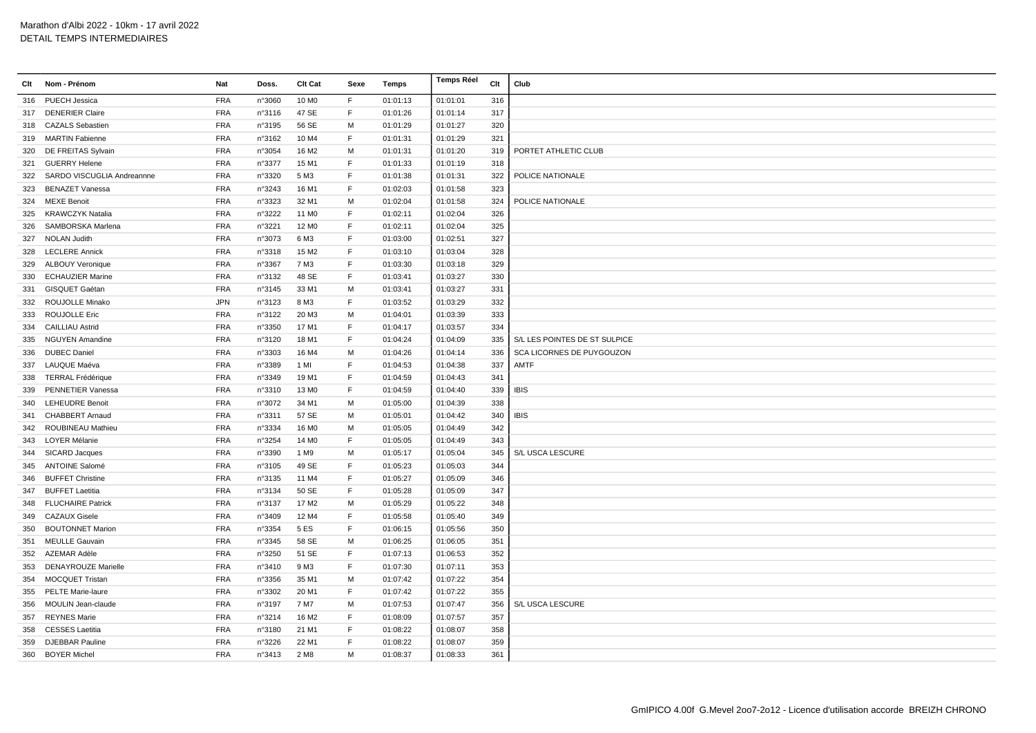| Clt | Nom - Prénom               | Nat        | Doss.  | <b>Clt Cat</b>    | Sexe        | Temps    | Temps Réel | Clt | Club                          |
|-----|----------------------------|------------|--------|-------------------|-------------|----------|------------|-----|-------------------------------|
|     | 316 PUECH Jessica          | <b>FRA</b> | n°3060 | 10 M <sub>0</sub> | -F          | 01:01:13 | 01:01:01   | 316 |                               |
| 317 | <b>DENERIER Claire</b>     | <b>FRA</b> | n°3116 | 47 SE             | F           | 01:01:26 | 01:01:14   | 317 |                               |
|     | 318 CAZALS Sebastien       | <b>FRA</b> | n°3195 | 56 SE             | M           | 01:01:29 | 01:01:27   | 320 |                               |
|     | 319 MARTIN Fabienne        | <b>FRA</b> | n°3162 | 10 M4             | F.          | 01:01:31 | 01:01:29   | 321 |                               |
| 320 | DE FREITAS Sylvain         | <b>FRA</b> | n°3054 | 16 M <sub>2</sub> | М           | 01:01:31 | 01:01:20   | 319 | PORTET ATHLETIC CLUB          |
|     | 321 GUERRY Helene          | <b>FRA</b> | n°3377 | 15 M1             | F           | 01:01:33 | 01:01:19   | 318 |                               |
| 322 | SARDO VISCUGLIA Andreannne | <b>FRA</b> | n°3320 | 5 M3              | F           | 01:01:38 | 01:01:31   | 322 | POLICE NATIONALE              |
| 323 | <b>BENAZET Vanessa</b>     | <b>FRA</b> | n°3243 | 16 M1             | F           | 01:02:03 | 01:01:58   | 323 |                               |
|     | 324 MEXE Benoit            | <b>FRA</b> | n°3323 | 32 M1             | M           | 01:02:04 | 01:01:58   | 324 | POLICE NATIONALE              |
| 325 | <b>KRAWCZYK Natalia</b>    | <b>FRA</b> | n°3222 | 11 M <sub>0</sub> | $\mathsf F$ | 01:02:11 | 01:02:04   | 326 |                               |
|     | 326 SAMBORSKA Marlena      | <b>FRA</b> | n°3221 | 12 M <sub>0</sub> | F           | 01:02:11 | 01:02:04   | 325 |                               |
|     | 327 NOLAN Judith           | <b>FRA</b> | n°3073 | 6 M3              | $\mathsf F$ | 01:03:00 | 01:02:51   | 327 |                               |
| 328 | <b>LECLERE Annick</b>      | <b>FRA</b> | n°3318 | 15 M <sub>2</sub> | F           | 01:03:10 | 01:03:04   | 328 |                               |
|     | 329 ALBOUY Veronique       | <b>FRA</b> | n°3367 | 7 M3              | F           | 01:03:30 | 01:03:18   | 329 |                               |
| 330 | <b>ECHAUZIER Marine</b>    | <b>FRA</b> | n°3132 | 48 SE             | $\mathsf F$ | 01:03:41 | 01:03:27   | 330 |                               |
| 331 | <b>GISQUET Gaétan</b>      | <b>FRA</b> | n°3145 | 33 M1             | м           | 01:03:41 | 01:03:27   | 331 |                               |
|     | 332 ROUJOLLE Minako        | <b>JPN</b> | n°3123 | 8 M3              | $\mathsf F$ | 01:03:52 | 01:03:29   | 332 |                               |
| 333 | <b>ROUJOLLE Eric</b>       | <b>FRA</b> | n°3122 | 20 M3             | M           | 01:04:01 | 01:03:39   | 333 |                               |
|     | 334 CAILLIAU Astrid        | <b>FRA</b> | n°3350 | 17 M1             | F.          | 01:04:17 | 01:03:57   | 334 |                               |
|     | 335 NGUYEN Amandine        | <b>FRA</b> | n°3120 | 18 M1             | $\mathsf F$ | 01:04:24 | 01:04:09   | 335 | S/L LES POINTES DE ST SULPICE |
|     | 336 DUBEC Daniel           | <b>FRA</b> | n°3303 | 16 M4             | м           | 01:04:26 | 01:04:14   | 336 | SCA LICORNES DE PUYGOUZON     |
|     | 337 LAUQUE Maéva           | <b>FRA</b> | n°3389 | 1 MI              | E           | 01:04:53 | 01:04:38   | 337 | AMTF                          |
| 338 | <b>TERRAL Frédérique</b>   | <b>FRA</b> | n°3349 | 19 M1             | F           | 01:04:59 | 01:04:43   | 341 |                               |
| 339 | <b>PENNETIER Vanessa</b>   | <b>FRA</b> | n°3310 | 13 M <sub>0</sub> | F.          | 01:04:59 | 01:04:40   | 339 | <b>IBIS</b>                   |
|     | 340 LEHEUDRE Benoit        | <b>FRA</b> | n°3072 | 34 M1             | M           | 01:05:00 | 01:04:39   | 338 |                               |
| 341 | <b>CHABBERT Arnaud</b>     | <b>FRA</b> | n°3311 | 57 SE             | М           | 01:05:01 | 01:04:42   | 340 | <b>IBIS</b>                   |
|     | 342 ROUBINEAU Mathieu      | <b>FRA</b> | n°3334 | 16 M <sub>0</sub> | M           | 01:05:05 | 01:04:49   | 342 |                               |
| 343 | <b>LOYER Mélanie</b>       | <b>FRA</b> | n°3254 | 14 M <sub>0</sub> | F           | 01:05:05 | 01:04:49   | 343 |                               |
| 344 | SICARD Jacques             | <b>FRA</b> | n°3390 | 1 M9              | М           | 01:05:17 | 01:05:04   | 345 | S/L USCA LESCURE              |
|     | 345 ANTOINE Salomé         | <b>FRA</b> | n°3105 | 49 SE             | $\mathsf F$ | 01:05:23 | 01:05:03   | 344 |                               |
|     | 346 BUFFET Christine       | <b>FRA</b> | n°3135 | 11 M4             | F           | 01:05:27 | 01:05:09   | 346 |                               |
|     | 347 BUFFET Laetitia        | <b>FRA</b> | n°3134 | 50 SE             | F           | 01:05:28 | 01:05:09   | 347 |                               |
|     | 348 FLUCHAIRE Patrick      | <b>FRA</b> | n°3137 | 17 M2             | M           | 01:05:29 | 01:05:22   | 348 |                               |
|     | 349 CAZAUX Gisele          | <b>FRA</b> | n°3409 | 12 M4             | F.          | 01:05:58 | 01:05:40   | 349 |                               |
|     | 350 BOUTONNET Marion       | <b>FRA</b> | n°3354 | 5 ES              | F           | 01:06:15 | 01:05:56   | 350 |                               |
|     | 351 MEULLE Gauvain         | <b>FRA</b> | n°3345 | 58 SE             | М           | 01:06:25 | 01:06:05   | 351 |                               |
|     | 352 AZEMAR Adèle           | <b>FRA</b> | n°3250 | 51 SE             | F           | 01:07:13 | 01:06:53   | 352 |                               |
| 353 | <b>DENAYROUZE Marielle</b> | <b>FRA</b> | n°3410 | 9 M3              | F           | 01:07:30 | 01:07:11   | 353 |                               |
| 354 | <b>MOCQUET Tristan</b>     | <b>FRA</b> | n°3356 | 35 M1             | М           | 01:07:42 | 01:07:22   | 354 |                               |
|     | 355 PELTE Marie-laure      | <b>FRA</b> | n°3302 | 20 M1             | F           | 01:07:42 | 01:07:22   | 355 |                               |
|     | 356 MOULIN Jean-claude     | <b>FRA</b> | n°3197 | 7 M7              | M           | 01:07:53 | 01:07:47   | 356 | S/L USCA LESCURE              |
| 357 | <b>REYNES Marie</b>        | <b>FRA</b> | n°3214 | 16 M <sub>2</sub> | F           | 01:08:09 | 01:07:57   | 357 |                               |
|     | 358 CESSES Laetitia        | <b>FRA</b> | n°3180 | 21 M1             | F           | 01:08:22 | 01:08:07   | 358 |                               |
| 359 | <b>DJEBBAR Pauline</b>     | <b>FRA</b> | n°3226 | 22 M1             | $\mathsf F$ | 01:08:22 | 01:08:07   | 359 |                               |
|     | 360 BOYER Michel           | <b>FRA</b> | n°3413 | 2 M8              | M           | 01:08:37 | 01:08:33   | 361 |                               |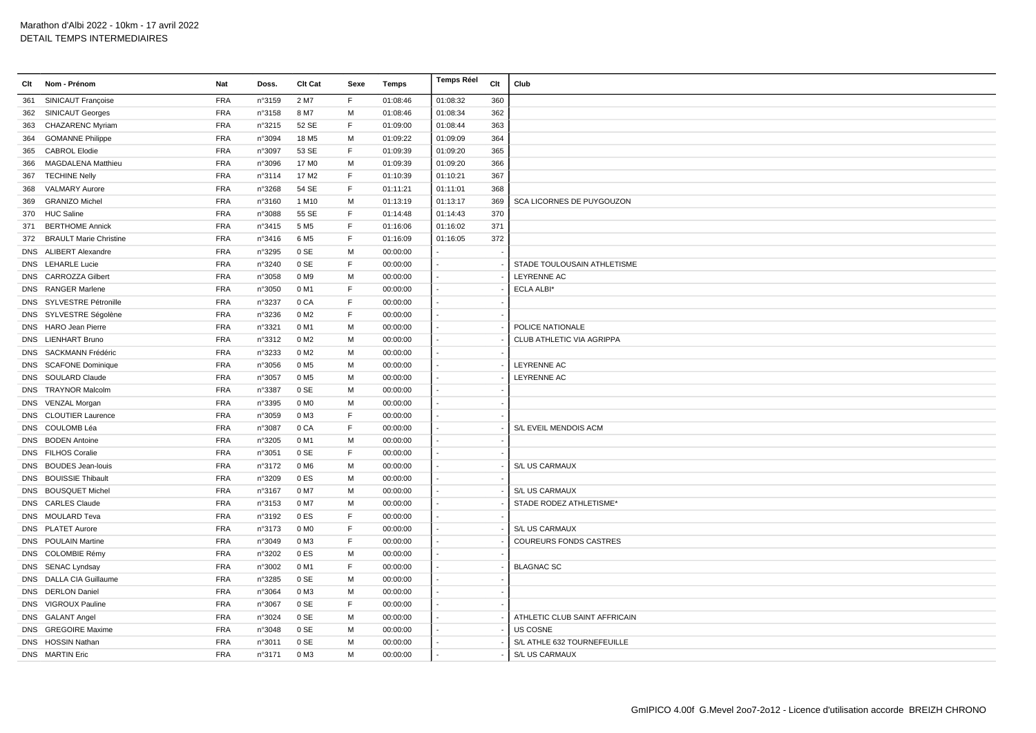| Clt | Nom - Prénom                  | Nat        | Doss.  | Clt Cat           | Sexe         | Temps    | <b>Temps Réel</b> | Clt | Club                          |
|-----|-------------------------------|------------|--------|-------------------|--------------|----------|-------------------|-----|-------------------------------|
| 361 | SINICAUT Françoise            | <b>FRA</b> | n°3159 | 2 M7              | E            | 01:08:46 | 01:08:32          | 360 |                               |
| 362 | <b>SINICAUT Georges</b>       | <b>FRA</b> | n°3158 | 8 M7              | M            | 01:08:46 | 01:08:34          | 362 |                               |
| 363 | <b>CHAZARENC Myriam</b>       | <b>FRA</b> | n°3215 | 52 SE             | F            | 01:09:00 | 01:08:44          | 363 |                               |
| 364 | <b>GOMANNE Philippe</b>       | <b>FRA</b> | n°3094 | 18 M <sub>5</sub> | M            | 01:09:22 | 01:09:09          | 364 |                               |
| 365 | <b>CABROL Elodie</b>          | <b>FRA</b> | n°3097 | 53 SE             | F            | 01:09:39 | 01:09:20          | 365 |                               |
| 366 | <b>MAGDALENA Matthieu</b>     | <b>FRA</b> | n°3096 | 17 M <sub>0</sub> | м            | 01:09:39 | 01:09:20          | 366 |                               |
| 367 | <b>TECHINE Nelly</b>          | FRA        | n°3114 | 17 M2             | F            | 01:10:39 | 01:10:21          | 367 |                               |
| 368 | <b>VALMARY Aurore</b>         | <b>FRA</b> | n°3268 | 54 SE             | F            | 01:11:21 | 01:11:01          | 368 |                               |
| 369 | <b>GRANIZO Michel</b>         | <b>FRA</b> | n°3160 | 1 M10             | М            | 01:13:19 | 01:13:17          | 369 | SCA LICORNES DE PUYGOUZON     |
| 370 | <b>HUC Saline</b>             | <b>FRA</b> | n°3088 | 55 SE             | F            | 01:14:48 | 01:14:43          | 370 |                               |
| 371 | <b>BERTHOME Annick</b>        | <b>FRA</b> | n°3415 | 5 M <sub>5</sub>  | F            | 01:16:06 | 01:16:02          | 371 |                               |
| 372 | <b>BRAULT Marie Christine</b> | <b>FRA</b> | n°3416 | 6 M <sub>5</sub>  | F            | 01:16:09 | 01:16:05          | 372 |                               |
|     | DNS ALIBERT Alexandre         | <b>FRA</b> | n°3295 | 0 SE              | M            | 00:00:00 |                   |     |                               |
|     | DNS LEHARLE Lucie             | <b>FRA</b> | n°3240 | 0 SE              | F            | 00:00:00 |                   |     | STADE TOULOUSAIN ATHLETISME   |
|     | DNS CARROZZA Gilbert          | <b>FRA</b> | n°3058 | 0 M9              | м            | 00:00:00 |                   |     | LEYRENNE AC                   |
|     | DNS RANGER Marlene            | <b>FRA</b> | n°3050 | 0 M1              | E            | 00:00:00 |                   |     | <b>ECLA ALBI*</b>             |
|     | DNS SYLVESTRE Pétronille      | <b>FRA</b> | n°3237 | 0 CA              | E            | 00:00:00 |                   |     |                               |
|     | DNS SYLVESTRE Ségolène        | <b>FRA</b> | n°3236 | 0 M2              | E            | 00:00:00 |                   |     |                               |
|     | DNS HARO Jean Pierre          | <b>FRA</b> | n°3321 | 0 M1              | M            | 00:00:00 |                   |     | POLICE NATIONALE              |
|     | DNS LIENHART Bruno            | <b>FRA</b> | n°3312 | 0 M <sub>2</sub>  | м            | 00:00:00 |                   |     | CLUB ATHLETIC VIA AGRIPPA     |
|     | DNS SACKMANN Frédéric         | <b>FRA</b> | n°3233 | 0 M <sub>2</sub>  | M            | 00:00:00 |                   |     |                               |
|     | DNS SCAFONE Dominique         | <b>FRA</b> | n°3056 | 0 M <sub>5</sub>  | м            | 00:00:00 |                   |     | LEYRENNE AC                   |
|     | DNS SOULARD Claude            | <b>FRA</b> | n°3057 | 0 M <sub>5</sub>  | M            | 00:00:00 |                   |     | <b>LEYRENNE AC</b>            |
|     | DNS TRAYNOR Malcolm           | <b>FRA</b> | n°3387 | 0 SE              | M            | 00:00:00 |                   |     |                               |
|     | DNS VENZAL Morgan             | <b>FRA</b> | n°3395 | 0 M <sub>0</sub>  | M            | 00:00:00 |                   |     |                               |
|     | DNS CLOUTIER Laurence         | <b>FRA</b> | n°3059 | 0 M3              | F            | 00:00:00 |                   |     |                               |
|     | DNS COULOMB Léa               | <b>FRA</b> | n°3087 | 0 CA              | $\mathsf{F}$ | 00:00:00 |                   |     | S/L EVEIL MENDOIS ACM         |
|     | DNS BODEN Antoine             | <b>FRA</b> | n°3205 | 0 M1              | M            | 00:00:00 |                   |     |                               |
|     | DNS FILHOS Coralie            | <b>FRA</b> | n°3051 | 0 SE              | F            | 00:00:00 |                   |     |                               |
|     | DNS BOUDES Jean-louis         | <b>FRA</b> | n°3172 | 0 M <sub>6</sub>  | M            | 00:00:00 |                   |     | S/L US CARMAUX                |
|     | DNS BOUISSIE Thibault         | <b>FRA</b> | n°3209 | 0ES               | м            | 00:00:00 |                   |     |                               |
|     | DNS BOUSQUET Michel           | <b>FRA</b> | n°3167 | 0 M7              | M            | 00:00:00 |                   |     | S/L US CARMAUX                |
|     | DNS CARLES Claude             | <b>FRA</b> | n°3153 | 0 M7              | M            | 00:00:00 |                   |     | STADE RODEZ ATHLETISME*       |
|     | DNS MOULARD Teva              | <b>FRA</b> | n°3192 | 0ES               | F            | 00:00:00 |                   |     |                               |
|     | DNS PLATET Aurore             | <b>FRA</b> | n°3173 | 0 M <sub>0</sub>  | F            | 00:00:00 |                   |     | S/L US CARMAUX                |
|     | DNS POULAIN Martine           | <b>FRA</b> | n°3049 | 0 M3              | F            | 00:00:00 |                   |     | <b>COUREURS FONDS CASTRES</b> |
|     | DNS COLOMBIE Rémy             | <b>FRA</b> | n°3202 | 0ES               | M            | 00:00:00 |                   |     |                               |
|     | DNS SENAC Lyndsay             | <b>FRA</b> | n°3002 | 0 M1              | F            | 00:00:00 |                   |     | <b>BLAGNAC SC</b>             |
|     | DNS DALLA CIA Guillaume       | <b>FRA</b> | n°3285 | 0 SE              | M            | 00:00:00 |                   |     |                               |
|     | DNS DERLON Daniel             | <b>FRA</b> | n°3064 | 0 M3              | M            | 00:00:00 |                   |     |                               |
|     | DNS VIGROUX Pauline           | <b>FRA</b> | n°3067 | 0 SE              | F            | 00:00:00 |                   |     |                               |
|     | DNS GALANT Angel              | <b>FRA</b> | n°3024 | 0 SE              | М            | 00:00:00 |                   |     | ATHLETIC CLUB SAINT AFFRICAIN |
|     | DNS GREGOIRE Maxime           | <b>FRA</b> | n°3048 | 0 SE              | M            | 00:00:00 |                   |     | US COSNE                      |
|     | DNS HOSSIN Nathan             | <b>FRA</b> | n°3011 | 0 SE              | M            | 00:00:00 |                   |     | S/L ATHLE 632 TOURNEFEUILLE   |
|     | <b>DNS</b> MARTIN Eric        | <b>FRA</b> | n°3171 | 0 M3              | M            | 00:00:00 |                   |     | S/L US CARMAUX                |
|     |                               |            |        |                   |              |          |                   |     |                               |